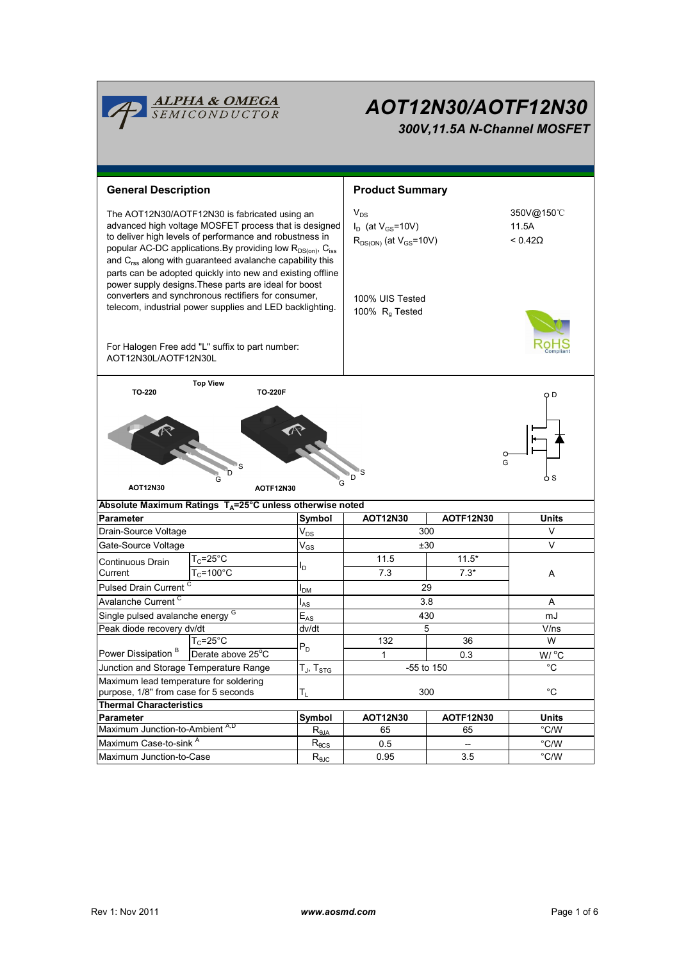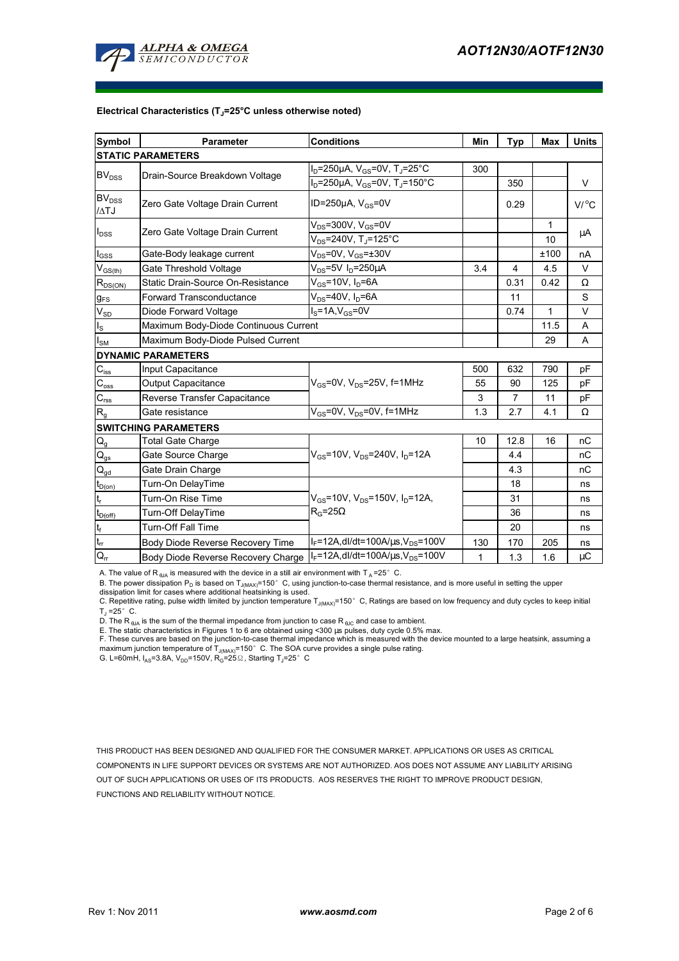

#### **Electrical Characteristics (TJ=25°C unless otherwise noted)**

| <b>Symbol</b>                    | <b>Parameter</b>                                                                  | <b>Conditions</b>                                         | Min          | <b>Typ</b>     | Max  | <b>Units</b> |
|----------------------------------|-----------------------------------------------------------------------------------|-----------------------------------------------------------|--------------|----------------|------|--------------|
| <b>STATIC PARAMETERS</b>         |                                                                                   |                                                           |              |                |      |              |
| <b>BV<sub>DSS</sub></b>          | Drain-Source Breakdown Voltage                                                    | $I_D = 250 \mu A$ , $V_{GS} = 0V$ , T <sub>J</sub> =25°C  | 300          |                |      |              |
|                                  |                                                                                   | $I_D = 250 \mu A$ , $V_{GS} = 0V$ , T <sub>J</sub> =150°C |              | 350            |      | V            |
| BV <sub>DSS</sub><br>$\Delta$ TJ | Zero Gate Voltage Drain Current                                                   | ID=250 $\mu$ A, V <sub>GS</sub> =0V                       |              | 0.29           |      | V/°C         |
| $I_{DSS}$                        | Zero Gate Voltage Drain Current                                                   | $V_{DS}$ =300V, $V_{GS}$ =0V                              |              |                | 1    | μA           |
|                                  |                                                                                   | $V_{DS}$ =240V, T <sub>J</sub> =125°C                     |              |                | 10   |              |
| l <sub>GSS</sub>                 | Gate-Body leakage current                                                         | $V_{DS}$ =0V, $V_{GS}$ =±30V                              |              |                | ±100 | nA           |
| $V_{GS(th)}$                     | Gate Threshold Voltage                                                            | $V_{DS}$ =5V I <sub>D</sub> =250µA                        | 3.4          | 4              | 4.5  | V            |
| $R_{DS(ON)}$                     | Static Drain-Source On-Resistance                                                 | $V_{GS}$ =10V, I <sub>D</sub> =6A                         |              | 0.31           | 0.42 | Ω            |
| $g_{FS}$                         | <b>Forward Transconductance</b>                                                   | $V_{DS}$ =40V, $I_D$ =6A                                  |              | 11             |      | S            |
| $V_{SD}$                         | Diode Forward Voltage                                                             | $IS=1A, VGS=0V$                                           |              | 0.74           | 1    | V            |
| $I_{\rm S}$                      | Maximum Body-Diode Continuous Current                                             |                                                           |              |                | 11.5 | A            |
| I <sub>SM</sub>                  | Maximum Body-Diode Pulsed Current                                                 |                                                           |              |                | 29   | A            |
| <b>DYNAMIC PARAMETERS</b>        |                                                                                   |                                                           |              |                |      |              |
| $C_{\text{iss}}$                 | Input Capacitance                                                                 | $V_{GS}$ =0V, $V_{DS}$ =25V, f=1MHz                       | 500          | 632            | 790  | pF           |
| $C_{\rm oss}$                    | Output Capacitance                                                                |                                                           | 55           | 90             | 125  | pF           |
| $C_{\text{rss}}$                 | Reverse Transfer Capacitance                                                      |                                                           | 3            | $\overline{7}$ | 11   | pF           |
| $R_{g}$                          | Gate resistance                                                                   | $V_{GS}$ =0V, $V_{DS}$ =0V, f=1MHz                        | 1.3          | 2.7            | 4.1  | $\Omega$     |
| <b>SWITCHING PARAMETERS</b>      |                                                                                   |                                                           |              |                |      |              |
| $Q_{q}$                          | <b>Total Gate Charge</b>                                                          |                                                           | 10           | 12.8           | 16   | nC           |
| $\mathsf{Q}_{\text{gs}}$         | Gate Source Charge                                                                | $V_{\rm GS}$ =10V, $V_{\rm DS}$ =240V, $I_{\rm D}$ =12A   |              | 4.4            |      | nС           |
| $Q_{gd}$                         | Gate Drain Charge                                                                 |                                                           |              | 4.3            |      | nC           |
| $t_{D(0n)}$                      | Turn-On DelayTime                                                                 |                                                           |              | 18             |      | ns           |
| t,                               | Turn-On Rise Time                                                                 | $V_{GS}$ =10V, $V_{DS}$ =150V, $I_{D}$ =12A,              |              | 31             |      | ns           |
| $t_{D(\text{off})}$              | Turn-Off DelayTime                                                                | $R_G = 25\Omega$                                          |              | 36             |      | ns           |
| $\mathsf{t}_{\mathsf{f}}$        | <b>Turn-Off Fall Time</b>                                                         |                                                           |              | 20             |      | ns           |
| $t_{rr}$                         | Body Diode Reverse Recovery Time                                                  | $I_F = 12A$ , dl/dt=100A/ $\mu$ s, V <sub>DS</sub> =100V  | 130          | 170            | 205  | ns           |
| $Q_{rr}$                         | Body Diode Reverse Recovery Charge   IF=12A, dl/dt=100A/us, V <sub>DS</sub> =100V |                                                           | $\mathbf{1}$ | 1.3            | 1.6  | $\mu$ C      |

A. The value of R<sub>6JA</sub> is measured with the device in a still air environment with T<sub>A</sub>=25°C.

B. The power dissipation P<sub>D</sub> is based on T<sub>J(MAX)</sub>=150°C, using junction-to-case thermal resistance, and is more useful in setting the upper<br>dissipation limit for cases where additional heatsinking is used.

C. Repetitive rating, pulse width limited by junction temperature T<sub>J(MAX)</sub>=150°C, Ratings are based on low frequency and duty cycles to keep initial  $T_J = 25^\circ$  C.

D. The R<sub>BJA</sub> is the sum of the thermal impedance from junction to case R<sub>BJC</sub> and case to ambient.

E. The static characteristics in Figures 1 to 6 are obtained using <300 µs pulses, duty cycle 0.5% max.

F. These curves are based on the junction-to-case thermal impedance which is measured with the device mounted to a large heatsink, assuming a<br>maximum junction temperature of T<sub>J(MAX)</sub>=150°C. The SOA curve provides a single

G. L=60mH,  $I_{AS}$ =3.8A, V<sub>DD</sub>=150V, R<sub>G</sub>=25 $\Omega$ , Starting T<sub>J</sub>=25°C

THIS PRODUCT HAS BEEN DESIGNED AND QUALIFIED FOR THE CONSUMER MARKET. APPLICATIONS OR USES AS CRITICAL COMPONENTS IN LIFE SUPPORT DEVICES OR SYSTEMS ARE NOT AUTHORIZED. AOS DOES NOT ASSUME ANY LIABILITY ARISING OUT OF SUCH APPLICATIONS OR USES OF ITS PRODUCTS. AOS RESERVES THE RIGHT TO IMPROVE PRODUCT DESIGN, FUNCTIONS AND RELIABILITY WITHOUT NOTICE.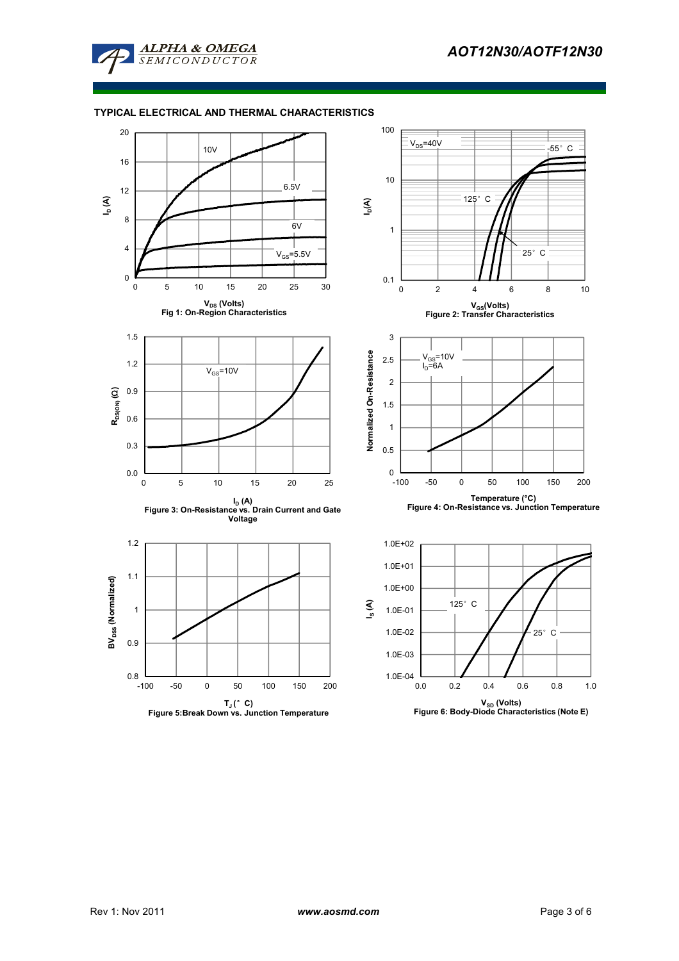

# **TYPICAL ELECTRICAL AND THERMAL CHARACTERISTICS**

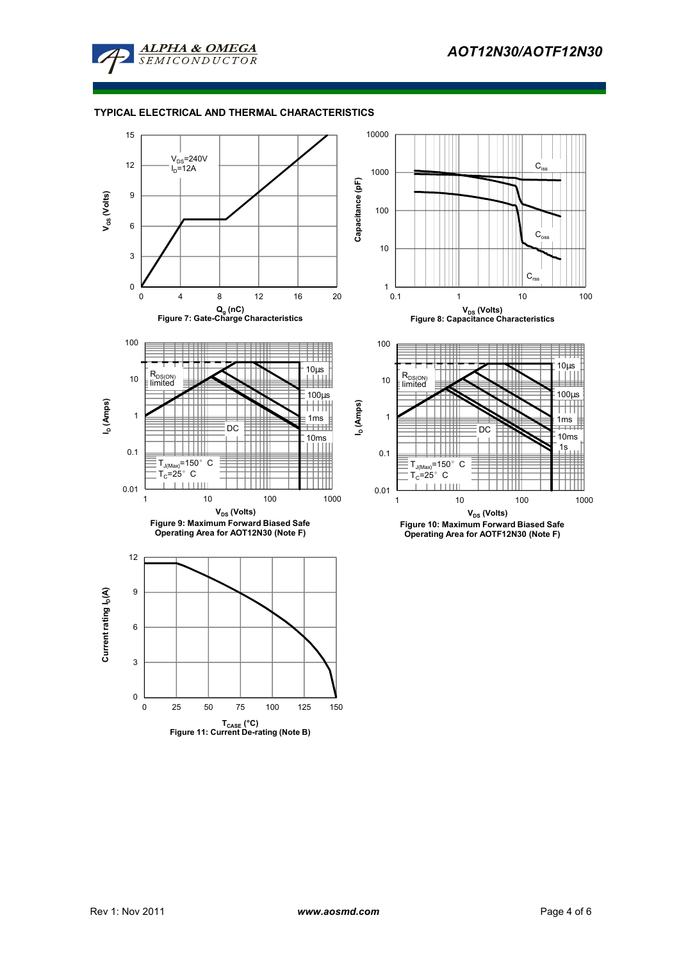

# **TYPICAL ELECTRICAL AND THERMAL CHARACTERISTICS**

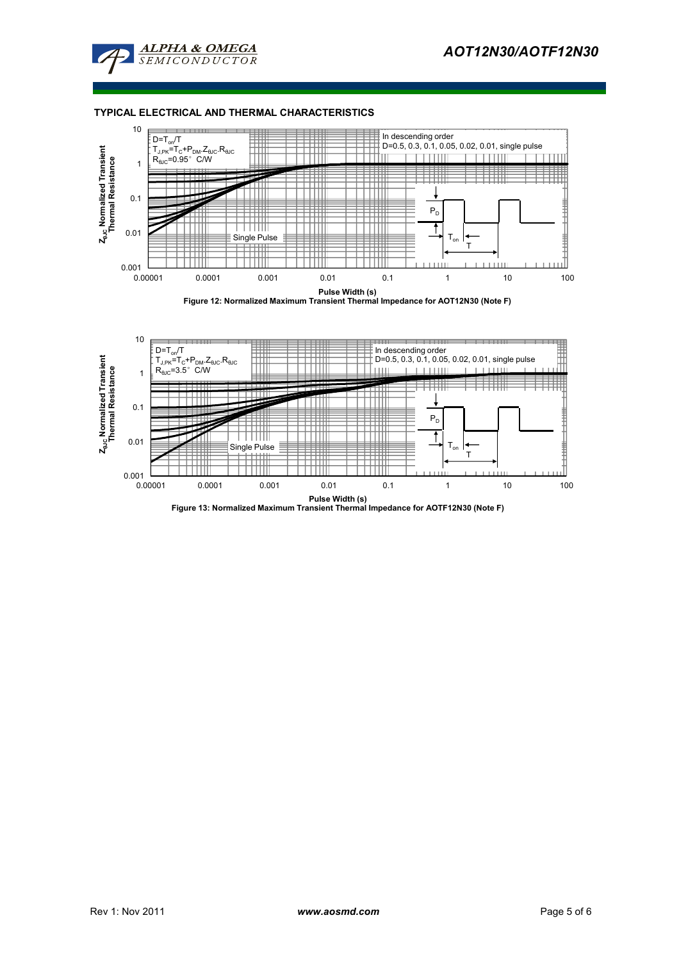

# **TYPICAL ELECTRICAL AND THERMAL CHARACTERISTICS**